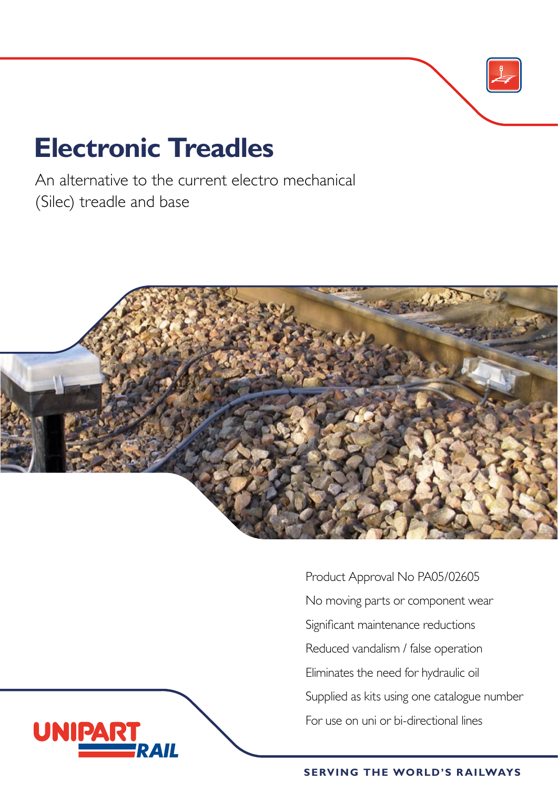# **Electronic Treadles**

**UNIPAR** 

An alternative to the current electro mechanical (Silec) treadle and base



Product Approval No PA05/02605 No moving parts or component wear Significant maintenance reductions Reduced vandalism / false operation Eliminates the need for hydraulic oil Supplied as kits using one catalogue number For use on uni or bi-directional lines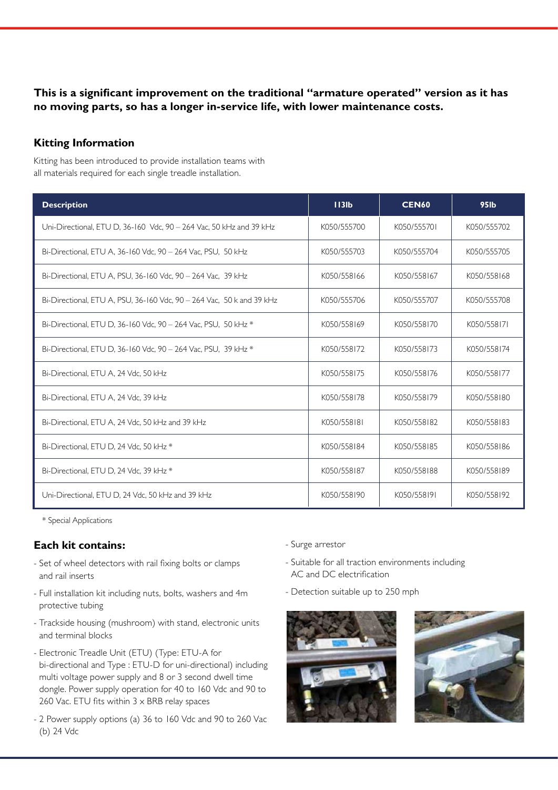## **This is a significant improvement on the traditional "armature operated" version as it has no moving parts, so has a longer in-service life, with lower maintenance costs.**

#### **Kitting Information**

Kitting has been introduced to provide installation teams with all materials required for each single treadle installation.

| <b>Description</b>                                                    | 113 <sub>lb</sub> | <b>CEN60</b> | <b>95lb</b> |
|-----------------------------------------------------------------------|-------------------|--------------|-------------|
| Uni-Directional, ETU D, 36-160 Vdc, 90 - 264 Vac, 50 kHz and 39 kHz   | K050/555700       | K050/555701  | K050/555702 |
| Bi-Directional, ETU A, 36-160 Vdc, 90 - 264 Vac, PSU, 50 kHz          | K050/555703       | K050/555704  | K050/555705 |
| Bi-Directional, ETU A, PSU, 36-160 Vdc, 90 - 264 Vac, 39 kHz          | K050/558166       | K050/558167  | K050/558168 |
| Bi-Directional, ETU A, PSU, 36-160 Vdc, 90 - 264 Vac, 50 k and 39 kHz | K050/555706       | K050/555707  | K050/555708 |
| Bi-Directional, ETU D, 36-160 Vdc, 90 - 264 Vac, PSU, 50 kHz *        | K050/558169       | K050/558170  | K050/558171 |
| Bi-Directional, ETU D, 36-160 Vdc, 90 - 264 Vac, PSU, 39 kHz *        | K050/558172       | K050/558173  | K050/558174 |
| Bi-Directional, ETU A, 24 Vdc, 50 kHz                                 | K050/558175       | K050/558176  | K050/558177 |
| Bi-Directional, ETU A, 24 Vdc, 39 kHz                                 | K050/558178       | K050/558179  | K050/558180 |
| Bi-Directional, ETU A, 24 Vdc, 50 kHz and 39 kHz                      | K050/558181       | K050/558182  | K050/558183 |
| Bi-Directional, ETU D, 24 Vdc, 50 kHz *                               | K050/558184       | K050/558185  | K050/558186 |
| Bi-Directional, ETU D, 24 Vdc, 39 kHz *                               | K050/558187       | K050/558188  | K050/558189 |
| Uni-Directional, ETU D, 24 Vdc, 50 kHz and 39 kHz                     | K050/558190       | K050/558191  | K050/558192 |

\* Special Applications

#### **Each kit contains:**

- Set of wheel detectors with rail fixing bolts or clamps and rail inserts
- Full installation kit including nuts, bolts, washers and 4m protective tubing
- Trackside housing (mushroom) with stand, electronic units and terminal blocks
- Electronic Treadle Unit (ETU) (Type: ETU-A for bi-directional and Type : ETU-D for uni-directional) including multi voltage power supply and 8 or 3 second dwell time dongle. Power supply operation for 40 to 160 Vdc and 90 to 260 Vac. ETU fits within  $3 \times$  BRB relay spaces
- 2 Power supply options (a) 36 to 160 Vdc and 90 to 260 Vac (b) 24 Vdc
- Surge arrestor
- Suitable for all traction environments including AC and DC electrification
- Detection suitable up to 250 mph



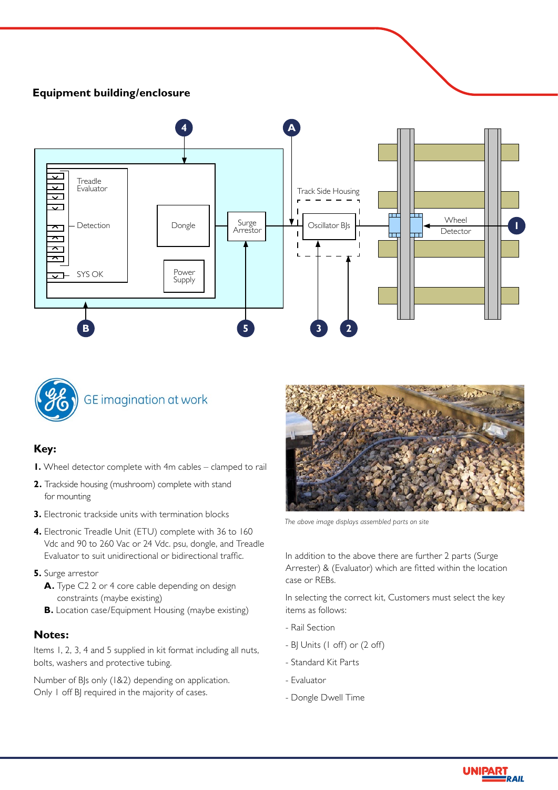## **Equipment building/enclosure**





#### **Key:**

- **1.** Wheel detector complete with 4m cables clamped to rail
- **2.** Trackside housing (mushroom) complete with stand for mounting
- **3.** Electronic trackside units with termination blocks
- **4.** Electronic Treadle Unit (ETU) complete with 36 to 160 Vdc and 90 to 260 Vac or 24 Vdc. psu, dongle, and Treadle Evaluator to suit unidirectional or bidirectional traffic.
- **5.** Surge arrestor
	- **A.** Type C2 2 or 4 core cable depending on design constraints (maybe existing)
	- **B.** Location case/Equipment Housing (maybe existing)

#### **Notes:**

Items 1, 2, 3, 4 and 5 supplied in kit format including all nuts, bolts, washers and protective tubing.

Number of BJs only (1&2) depending on application. Only 1 off BJ required in the majority of cases.



*The above image displays assembled parts on site*

In addition to the above there are further 2 parts (Surge Arrester) & (Evaluator) which are fitted within the location case or REBs.

In selecting the correct kit, Customers must select the key items as follows:

- Rail Section
- BJ Units (1 off) or (2 off)
- Standard Kit Parts
- Evaluator
- Dongle Dwell Time